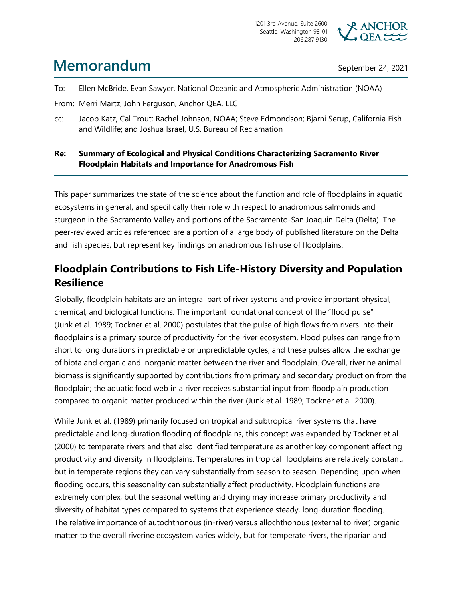

# **Memorandum** September 24, 2021

To: Ellen McBride, Evan Sawyer, National Oceanic and Atmospheric Administration (NOAA)

From: Merri Martz, John Ferguson, Anchor QEA, LLC

cc: Jacob Katz, Cal Trout; Rachel Johnson, NOAA; Steve Edmondson; Bjarni Serup, California Fish and Wildlife; and Joshua Israel, U.S. Bureau of Reclamation

#### **Re: Summary of Ecological and Physical Conditions Characterizing Sacramento River Floodplain Habitats and Importance for Anadromous Fish**

This paper summarizes the state of the science about the function and role of floodplains in aquatic ecosystems in general, and specifically their role with respect to anadromous salmonids and sturgeon in the Sacramento Valley and portions of the Sacramento-San Joaquin Delta (Delta). The peer-reviewed articles referenced are a portion of a large body of published literature on the Delta and fish species, but represent key findings on anadromous fish use of floodplains.

# **Floodplain Contributions to Fish Life-History Diversity and Population Resilience**

Globally, floodplain habitats are an integral part of river systems and provide important physical, chemical, and biological functions. The important foundational concept of the "flood pulse" (Junk et al. 1989; Tockner et al. 2000) postulates that the pulse of high flows from rivers into their floodplains is a primary source of productivity for the river ecosystem. Flood pulses can range from short to long durations in predictable or unpredictable cycles, and these pulses allow the exchange of biota and organic and inorganic matter between the river and floodplain. Overall, riverine animal biomass is significantly supported by contributions from primary and secondary production from the floodplain; the aquatic food web in a river receives substantial input from floodplain production compared to organic matter produced within the river (Junk et al. 1989; Tockner et al. 2000).

While Junk et al. (1989) primarily focused on tropical and subtropical river systems that have predictable and long-duration flooding of floodplains, this concept was expanded by Tockner et al. (2000) to temperate rivers and that also identified temperature as another key component affecting productivity and diversity in floodplains. Temperatures in tropical floodplains are relatively constant, but in temperate regions they can vary substantially from season to season. Depending upon when flooding occurs, this seasonality can substantially affect productivity. Floodplain functions are extremely complex, but the seasonal wetting and drying may increase primary productivity and diversity of habitat types compared to systems that experience steady, long-duration flooding. The relative importance of autochthonous (in-river) versus allochthonous (external to river) organic matter to the overall riverine ecosystem varies widely, but for temperate rivers, the riparian and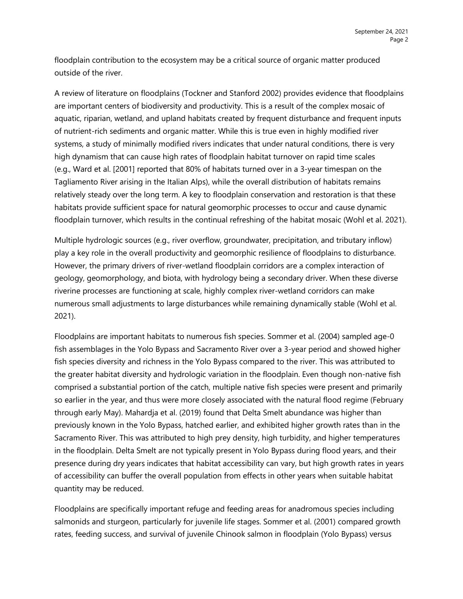floodplain contribution to the ecosystem may be a critical source of organic matter produced outside of the river.

A review of literature on floodplains (Tockner and Stanford 2002) provides evidence that floodplains are important centers of biodiversity and productivity. This is a result of the complex mosaic of aquatic, riparian, wetland, and upland habitats created by frequent disturbance and frequent inputs of nutrient-rich sediments and organic matter. While this is true even in highly modified river systems, a study of minimally modified rivers indicates that under natural conditions, there is very high dynamism that can cause high rates of floodplain habitat turnover on rapid time scales (e.g., Ward et al. [2001] reported that 80% of habitats turned over in a 3-year timespan on the Tagliamento River arising in the Italian Alps), while the overall distribution of habitats remains relatively steady over the long term. A key to floodplain conservation and restoration is that these habitats provide sufficient space for natural geomorphic processes to occur and cause dynamic floodplain turnover, which results in the continual refreshing of the habitat mosaic (Wohl et al. 2021).

Multiple hydrologic sources (e.g., river overflow, groundwater, precipitation, and tributary inflow) play a key role in the overall productivity and geomorphic resilience of floodplains to disturbance. However, the primary drivers of river-wetland floodplain corridors are a complex interaction of geology, geomorphology, and biota, with hydrology being a secondary driver. When these diverse riverine processes are functioning at scale, highly complex river-wetland corridors can make numerous small adjustments to large disturbances while remaining dynamically stable (Wohl et al. 2021).

Floodplains are important habitats to numerous fish species. Sommer et al. (2004) sampled age-0 fish assemblages in the Yolo Bypass and Sacramento River over a 3-year period and showed higher fish species diversity and richness in the Yolo Bypass compared to the river. This was attributed to the greater habitat diversity and hydrologic variation in the floodplain. Even though non-native fish comprised a substantial portion of the catch, multiple native fish species were present and primarily so earlier in the year, and thus were more closely associated with the natural flood regime (February through early May). Mahardja et al. (2019) found that Delta Smelt abundance was higher than previously known in the Yolo Bypass, hatched earlier, and exhibited higher growth rates than in the Sacramento River. This was attributed to high prey density, high turbidity, and higher temperatures in the floodplain. Delta Smelt are not typically present in Yolo Bypass during flood years, and their presence during dry years indicates that habitat accessibility can vary, but high growth rates in years of accessibility can buffer the overall population from effects in other years when suitable habitat quantity may be reduced.

Floodplains are specifically important refuge and feeding areas for anadromous species including salmonids and sturgeon, particularly for juvenile life stages. Sommer et al. (2001) compared growth rates, feeding success, and survival of juvenile Chinook salmon in floodplain (Yolo Bypass) versus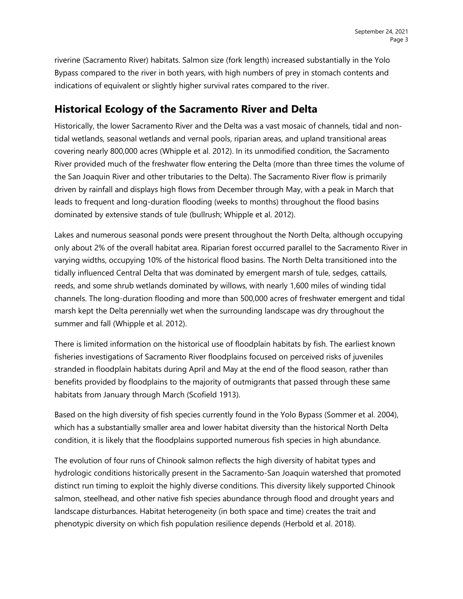riverine (Sacramento River) habitats. Salmon size (fork length) increased substantially in the Yolo Bypass compared to the river in both years, with high numbers of prey in stomach contents and indications of equivalent or slightly higher survival rates compared to the river.

## **Historical Ecology of the Sacramento River and Delta**

Historically, the lower Sacramento River and the Delta was a vast mosaic of channels, tidal and nontidal wetlands, seasonal wetlands and vernal pools, riparian areas, and upland transitional areas covering nearly 800,000 acres (Whipple et al. 2012). In its unmodified condition, the Sacramento River provided much of the freshwater flow entering the Delta (more than three times the volume of the San Joaquin River and other tributaries to the Delta). The Sacramento River flow is primarily driven by rainfall and displays high flows from December through May, with a peak in March that leads to frequent and long-duration flooding (weeks to months) throughout the flood basins dominated by extensive stands of tule (bullrush; Whipple et al. 2012).

Lakes and numerous seasonal ponds were present throughout the North Delta, although occupying only about 2% of the overall habitat area. Riparian forest occurred parallel to the Sacramento River in varying widths, occupying 10% of the historical flood basins. The North Delta transitioned into the tidally influenced Central Delta that was dominated by emergent marsh of tule, sedges, cattails, reeds, and some shrub wetlands dominated by willows, with nearly 1,600 miles of winding tidal channels. The long-duration flooding and more than 500,000 acres of freshwater emergent and tidal marsh kept the Delta perennially wet when the surrounding landscape was dry throughout the summer and fall (Whipple et al. 2012).

There is limited information on the historical use of floodplain habitats by fish. The earliest known fisheries investigations of Sacramento River floodplains focused on perceived risks of juveniles stranded in floodplain habitats during April and May at the end of the flood season, rather than benefits provided by floodplains to the majority of outmigrants that passed through these same habitats from January through March (Scofield 1913).

Based on the high diversity of fish species currently found in the Yolo Bypass (Sommer et al. 2004), which has a substantially smaller area and lower habitat diversity than the historical North Delta condition, it is likely that the floodplains supported numerous fish species in high abundance.

The evolution of four runs of Chinook salmon reflects the high diversity of habitat types and hydrologic conditions historically present in the Sacramento-San Joaquin watershed that promoted distinct run timing to exploit the highly diverse conditions. This diversity likely supported Chinook salmon, steelhead, and other native fish species abundance through flood and drought years and landscape disturbances. Habitat heterogeneity (in both space and time) creates the trait and phenotypic diversity on which fish population resilience depends (Herbold et al. 2018).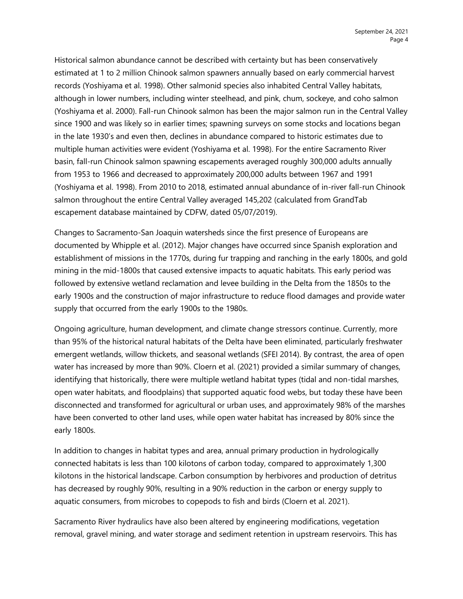Historical salmon abundance cannot be described with certainty but has been conservatively estimated at 1 to 2 million Chinook salmon spawners annually based on early commercial harvest records (Yoshiyama et al. 1998). Other salmonid species also inhabited Central Valley habitats, although in lower numbers, including winter steelhead, and pink, chum, sockeye, and coho salmon (Yoshiyama et al. 2000). Fall-run Chinook salmon has been the major salmon run in the Central Valley since 1900 and was likely so in earlier times; spawning surveys on some stocks and locations began in the late 1930's and even then, declines in abundance compared to historic estimates due to multiple human activities were evident (Yoshiyama et al. 1998). For the entire Sacramento River basin, fall-run Chinook salmon spawning escapements averaged roughly 300,000 adults annually from 1953 to 1966 and decreased to approximately 200,000 adults between 1967 and 1991 (Yoshiyama et al. 1998). From 2010 to 2018, estimated annual abundance of in-river fall-run Chinook salmon throughout the entire Central Valley averaged 145,202 (calculated from GrandTab escapement database maintained by CDFW, dated 05/07/2019).

Changes to Sacramento-San Joaquin watersheds since the first presence of Europeans are documented by Whipple et al. (2012). Major changes have occurred since Spanish exploration and establishment of missions in the 1770s, during fur trapping and ranching in the early 1800s, and gold mining in the mid-1800s that caused extensive impacts to aquatic habitats. This early period was followed by extensive wetland reclamation and levee building in the Delta from the 1850s to the early 1900s and the construction of major infrastructure to reduce flood damages and provide water supply that occurred from the early 1900s to the 1980s.

Ongoing agriculture, human development, and climate change stressors continue. Currently, more than 95% of the historical natural habitats of the Delta have been eliminated, particularly freshwater emergent wetlands, willow thickets, and seasonal wetlands (SFEI 2014). By contrast, the area of open water has increased by more than 90%. Cloern et al. (2021) provided a similar summary of changes, identifying that historically, there were multiple wetland habitat types (tidal and non-tidal marshes, open water habitats, and floodplains) that supported aquatic food webs, but today these have been disconnected and transformed for agricultural or urban uses, and approximately 98% of the marshes have been converted to other land uses, while open water habitat has increased by 80% since the early 1800s.

In addition to changes in habitat types and area, annual primary production in hydrologically connected habitats is less than 100 kilotons of carbon today, compared to approximately 1,300 kilotons in the historical landscape. Carbon consumption by herbivores and production of detritus has decreased by roughly 90%, resulting in a 90% reduction in the carbon or energy supply to aquatic consumers, from microbes to copepods to fish and birds (Cloern et al. 2021).

Sacramento River hydraulics have also been altered by engineering modifications, vegetation removal, gravel mining, and water storage and sediment retention in upstream reservoirs. This has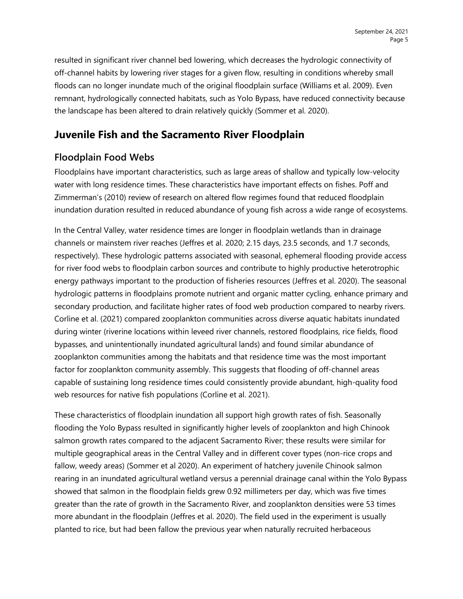resulted in significant river channel bed lowering, which decreases the hydrologic connectivity of off-channel habits by lowering river stages for a given flow, resulting in conditions whereby small floods can no longer inundate much of the original floodplain surface (Williams et al. 2009). Even remnant, hydrologically connected habitats, such as Yolo Bypass, have reduced connectivity because the landscape has been altered to drain relatively quickly (Sommer et al. 2020).

## **Juvenile Fish and the Sacramento River Floodplain**

## **Floodplain Food Webs**

Floodplains have important characteristics, such as large areas of shallow and typically low-velocity water with long residence times. These characteristics have important effects on fishes. Poff and Zimmerman's (2010) review of research on altered flow regimes found that reduced floodplain inundation duration resulted in reduced abundance of young fish across a wide range of ecosystems.

In the Central Valley, water residence times are longer in floodplain wetlands than in drainage channels or mainstem river reaches (Jeffres et al. 2020; 2.15 days, 23.5 seconds, and 1.7 seconds, respectively). These hydrologic patterns associated with seasonal, ephemeral flooding provide access for river food webs to floodplain carbon sources and contribute to highly productive heterotrophic energy pathways important to the production of fisheries resources (Jeffres et al. 2020). The seasonal hydrologic patterns in floodplains promote nutrient and organic matter cycling, enhance primary and secondary production, and facilitate higher rates of food web production compared to nearby rivers. Corline et al. (2021) compared zooplankton communities across diverse aquatic habitats inundated during winter (riverine locations within leveed river channels, restored floodplains, rice fields, flood bypasses, and unintentionally inundated agricultural lands) and found similar abundance of zooplankton communities among the habitats and that residence time was the most important factor for zooplankton community assembly. This suggests that flooding of off-channel areas capable of sustaining long residence times could consistently provide abundant, high-quality food web resources for native fish populations (Corline et al. 2021).

These characteristics of floodplain inundation all support high growth rates of fish. Seasonally flooding the Yolo Bypass resulted in significantly higher levels of zooplankton and high Chinook salmon growth rates compared to the adjacent Sacramento River; these results were similar for multiple geographical areas in the Central Valley and in different cover types (non-rice crops and fallow, weedy areas) (Sommer et al 2020). An experiment of hatchery juvenile Chinook salmon rearing in an inundated agricultural wetland versus a perennial drainage canal within the Yolo Bypass showed that salmon in the floodplain fields grew 0.92 millimeters per day, which was five times greater than the rate of growth in the Sacramento River, and zooplankton densities were 53 times more abundant in the floodplain (Jeffres et al. 2020). The field used in the experiment is usually planted to rice, but had been fallow the previous year when naturally recruited herbaceous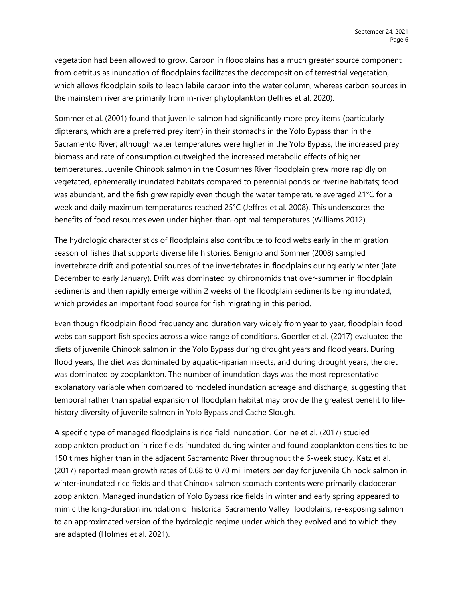vegetation had been allowed to grow. Carbon in floodplains has a much greater source component from detritus as inundation of floodplains facilitates the decomposition of terrestrial vegetation, which allows floodplain soils to leach labile carbon into the water column, whereas carbon sources in the mainstem river are primarily from in-river phytoplankton (Jeffres et al. 2020).

Sommer et al. (2001) found that juvenile salmon had significantly more prey items (particularly dipterans, which are a preferred prey item) in their stomachs in the Yolo Bypass than in the Sacramento River; although water temperatures were higher in the Yolo Bypass, the increased prey biomass and rate of consumption outweighed the increased metabolic effects of higher temperatures. Juvenile Chinook salmon in the Cosumnes River floodplain grew more rapidly on vegetated, ephemerally inundated habitats compared to perennial ponds or riverine habitats; food was abundant, and the fish grew rapidly even though the water temperature averaged 21°C for a week and daily maximum temperatures reached 25°C (Jeffres et al. 2008). This underscores the benefits of food resources even under higher-than-optimal temperatures (Williams 2012).

The hydrologic characteristics of floodplains also contribute to food webs early in the migration season of fishes that supports diverse life histories. Benigno and Sommer (2008) sampled invertebrate drift and potential sources of the invertebrates in floodplains during early winter (late December to early January). Drift was dominated by chironomids that over-summer in floodplain sediments and then rapidly emerge within 2 weeks of the floodplain sediments being inundated, which provides an important food source for fish migrating in this period.

Even though floodplain flood frequency and duration vary widely from year to year, floodplain food webs can support fish species across a wide range of conditions. Goertler et al. (2017) evaluated the diets of juvenile Chinook salmon in the Yolo Bypass during drought years and flood years. During flood years, the diet was dominated by aquatic-riparian insects, and during drought years, the diet was dominated by zooplankton. The number of inundation days was the most representative explanatory variable when compared to modeled inundation acreage and discharge, suggesting that temporal rather than spatial expansion of floodplain habitat may provide the greatest benefit to lifehistory diversity of juvenile salmon in Yolo Bypass and Cache Slough.

A specific type of managed floodplains is rice field inundation. Corline et al. (2017) studied zooplankton production in rice fields inundated during winter and found zooplankton densities to be 150 times higher than in the adjacent Sacramento River throughout the 6-week study. Katz et al. (2017) reported mean growth rates of 0.68 to 0.70 millimeters per day for juvenile Chinook salmon in winter-inundated rice fields and that Chinook salmon stomach contents were primarily cladoceran zooplankton. Managed inundation of Yolo Bypass rice fields in winter and early spring appeared to mimic the long-duration inundation of historical Sacramento Valley floodplains, re-exposing salmon to an approximated version of the hydrologic regime under which they evolved and to which they are adapted (Holmes et al. 2021).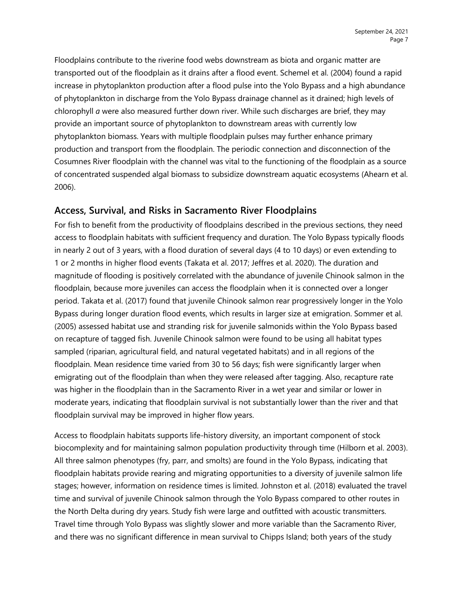Floodplains contribute to the riverine food webs downstream as biota and organic matter are transported out of the floodplain as it drains after a flood event. Schemel et al. (2004) found a rapid increase in phytoplankton production after a flood pulse into the Yolo Bypass and a high abundance of phytoplankton in discharge from the Yolo Bypass drainage channel as it drained; high levels of chlorophyll *a* were also measured further down river. While such discharges are brief, they may provide an important source of phytoplankton to downstream areas with currently low phytoplankton biomass. Years with multiple floodplain pulses may further enhance primary production and transport from the floodplain. The periodic connection and disconnection of the Cosumnes River floodplain with the channel was vital to the functioning of the floodplain as a source of concentrated suspended algal biomass to subsidize downstream aquatic ecosystems (Ahearn et al. 2006).

#### **Access, Survival, and Risks in Sacramento River Floodplains**

For fish to benefit from the productivity of floodplains described in the previous sections, they need access to floodplain habitats with sufficient frequency and duration. The Yolo Bypass typically floods in nearly 2 out of 3 years, with a flood duration of several days (4 to 10 days) or even extending to 1 or 2 months in higher flood events (Takata et al. 2017; Jeffres et al. 2020). The duration and magnitude of flooding is positively correlated with the abundance of juvenile Chinook salmon in the floodplain, because more juveniles can access the floodplain when it is connected over a longer period. Takata et al. (2017) found that juvenile Chinook salmon rear progressively longer in the Yolo Bypass during longer duration flood events, which results in larger size at emigration. Sommer et al. (2005) assessed habitat use and stranding risk for juvenile salmonids within the Yolo Bypass based on recapture of tagged fish. Juvenile Chinook salmon were found to be using all habitat types sampled (riparian, agricultural field, and natural vegetated habitats) and in all regions of the floodplain. Mean residence time varied from 30 to 56 days; fish were significantly larger when emigrating out of the floodplain than when they were released after tagging. Also, recapture rate was higher in the floodplain than in the Sacramento River in a wet year and similar or lower in moderate years, indicating that floodplain survival is not substantially lower than the river and that floodplain survival may be improved in higher flow years.

Access to floodplain habitats supports life-history diversity, an important component of stock biocomplexity and for maintaining salmon population productivity through time (Hilborn et al. 2003). All three salmon phenotypes (fry, parr, and smolts) are found in the Yolo Bypass, indicating that floodplain habitats provide rearing and migrating opportunities to a diversity of juvenile salmon life stages; however, information on residence times is limited. Johnston et al. (2018) evaluated the travel time and survival of juvenile Chinook salmon through the Yolo Bypass compared to other routes in the North Delta during dry years. Study fish were large and outfitted with acoustic transmitters. Travel time through Yolo Bypass was slightly slower and more variable than the Sacramento River, and there was no significant difference in mean survival to Chipps Island; both years of the study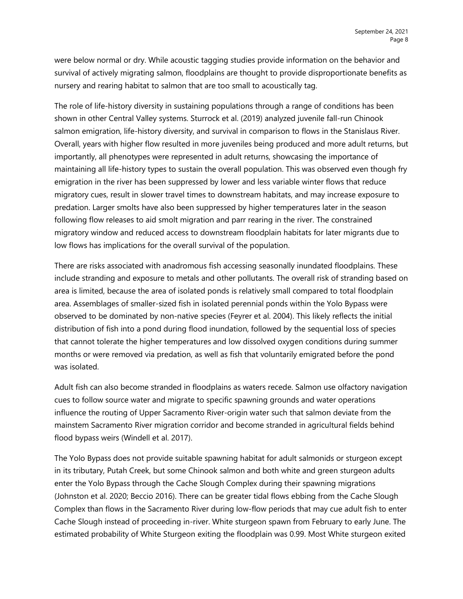were below normal or dry. While acoustic tagging studies provide information on the behavior and survival of actively migrating salmon, floodplains are thought to provide disproportionate benefits as nursery and rearing habitat to salmon that are too small to acoustically tag.

The role of life-history diversity in sustaining populations through a range of conditions has been shown in other Central Valley systems. Sturrock et al. (2019) analyzed juvenile fall-run Chinook salmon emigration, life-history diversity, and survival in comparison to flows in the Stanislaus River. Overall, years with higher flow resulted in more juveniles being produced and more adult returns, but importantly, all phenotypes were represented in adult returns, showcasing the importance of maintaining all life-history types to sustain the overall population. This was observed even though fry emigration in the river has been suppressed by lower and less variable winter flows that reduce migratory cues, result in slower travel times to downstream habitats, and may increase exposure to predation. Larger smolts have also been suppressed by higher temperatures later in the season following flow releases to aid smolt migration and parr rearing in the river. The constrained migratory window and reduced access to downstream floodplain habitats for later migrants due to low flows has implications for the overall survival of the population.

There are risks associated with anadromous fish accessing seasonally inundated floodplains. These include stranding and exposure to metals and other pollutants. The overall risk of stranding based on area is limited, because the area of isolated ponds is relatively small compared to total floodplain area. Assemblages of smaller-sized fish in isolated perennial ponds within the Yolo Bypass were observed to be dominated by non-native species (Feyrer et al. 2004). This likely reflects the initial distribution of fish into a pond during flood inundation, followed by the sequential loss of species that cannot tolerate the higher temperatures and low dissolved oxygen conditions during summer months or were removed via predation, as well as fish that voluntarily emigrated before the pond was isolated.

Adult fish can also become stranded in floodplains as waters recede. Salmon use olfactory navigation cues to follow source water and migrate to specific spawning grounds and water operations influence the routing of Upper Sacramento River-origin water such that salmon deviate from the mainstem Sacramento River migration corridor and become stranded in agricultural fields behind flood bypass weirs (Windell et al. 2017).

The Yolo Bypass does not provide suitable spawning habitat for adult salmonids or sturgeon except in its tributary, Putah Creek, but some Chinook salmon and both white and green sturgeon adults enter the Yolo Bypass through the Cache Slough Complex during their spawning migrations (Johnston et al. 2020; Beccio 2016). There can be greater tidal flows ebbing from the Cache Slough Complex than flows in the Sacramento River during low-flow periods that may cue adult fish to enter Cache Slough instead of proceeding in-river. White sturgeon spawn from February to early June. The estimated probability of White Sturgeon exiting the floodplain was 0.99. Most White sturgeon exited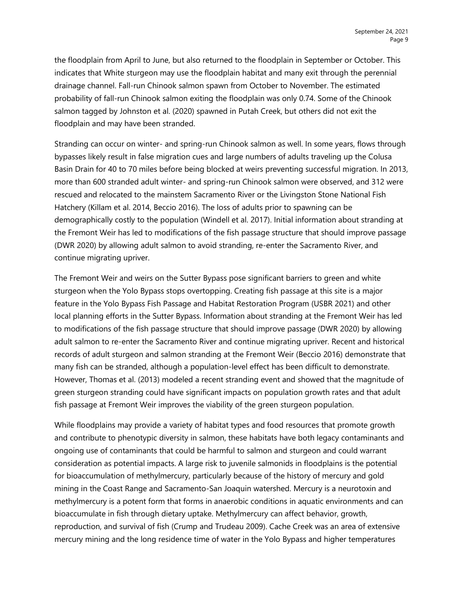the floodplain from April to June, but also returned to the floodplain in September or October. This indicates that White sturgeon may use the floodplain habitat and many exit through the perennial drainage channel. Fall-run Chinook salmon spawn from October to November. The estimated probability of fall-run Chinook salmon exiting the floodplain was only 0.74. Some of the Chinook salmon tagged by Johnston et al. (2020) spawned in Putah Creek, but others did not exit the floodplain and may have been stranded.

Stranding can occur on winter- and spring-run Chinook salmon as well. In some years, flows through bypasses likely result in false migration cues and large numbers of adults traveling up the Colusa Basin Drain for 40 to 70 miles before being blocked at weirs preventing successful migration. In 2013, more than 600 stranded adult winter- and spring-run Chinook salmon were observed, and 312 were rescued and relocated to the mainstem Sacramento River or the Livingston Stone National Fish Hatchery (Killam et al. 2014, Beccio 2016). The loss of adults prior to spawning can be demographically costly to the population (Windell et al. 2017). Initial information about stranding at the Fremont Weir has led to modifications of the fish passage structure that should improve passage (DWR 2020) by allowing adult salmon to avoid stranding, re-enter the Sacramento River, and continue migrating upriver.

The Fremont Weir and weirs on the Sutter Bypass pose significant barriers to green and white sturgeon when the Yolo Bypass stops overtopping. Creating fish passage at this site is a major feature in the Yolo Bypass Fish Passage and Habitat Restoration Program (USBR 2021) and other local planning efforts in the Sutter Bypass. Information about stranding at the Fremont Weir has led to modifications of the fish passage structure that should improve passage (DWR 2020) by allowing adult salmon to re-enter the Sacramento River and continue migrating upriver. Recent and historical records of adult sturgeon and salmon stranding at the Fremont Weir (Beccio 2016) demonstrate that many fish can be stranded, although a population-level effect has been difficult to demonstrate. However, Thomas et al. (2013) modeled a recent stranding event and showed that the magnitude of green sturgeon stranding could have significant impacts on population growth rates and that adult fish passage at Fremont Weir improves the viability of the green sturgeon population.

While floodplains may provide a variety of habitat types and food resources that promote growth and contribute to phenotypic diversity in salmon, these habitats have both legacy contaminants and ongoing use of contaminants that could be harmful to salmon and sturgeon and could warrant consideration as potential impacts. A large risk to juvenile salmonids in floodplains is the potential for bioaccumulation of methylmercury, particularly because of the history of mercury and gold mining in the Coast Range and Sacramento-San Joaquin watershed. Mercury is a neurotoxin and methylmercury is a potent form that forms in anaerobic conditions in aquatic environments and can bioaccumulate in fish through dietary uptake. Methylmercury can affect behavior, growth, reproduction, and survival of fish (Crump and Trudeau 2009). Cache Creek was an area of extensive mercury mining and the long residence time of water in the Yolo Bypass and higher temperatures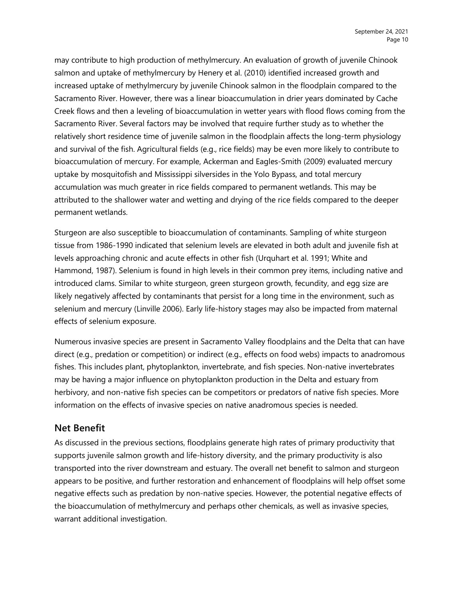may contribute to high production of methylmercury. An evaluation of growth of juvenile Chinook salmon and uptake of methylmercury by Henery et al. (2010) identified increased growth and increased uptake of methylmercury by juvenile Chinook salmon in the floodplain compared to the Sacramento River. However, there was a linear bioaccumulation in drier years dominated by Cache Creek flows and then a leveling of bioaccumulation in wetter years with flood flows coming from the Sacramento River. Several factors may be involved that require further study as to whether the relatively short residence time of juvenile salmon in the floodplain affects the long-term physiology and survival of the fish. Agricultural fields (e.g., rice fields) may be even more likely to contribute to bioaccumulation of mercury. For example, Ackerman and Eagles-Smith (2009) evaluated mercury uptake by mosquitofish and Mississippi silversides in the Yolo Bypass, and total mercury accumulation was much greater in rice fields compared to permanent wetlands. This may be attributed to the shallower water and wetting and drying of the rice fields compared to the deeper permanent wetlands.

Sturgeon are also susceptible to bioaccumulation of contaminants. Sampling of white sturgeon tissue from 1986-1990 indicated that selenium levels are elevated in both adult and juvenile fish at levels approaching chronic and acute effects in other fish (Urquhart et al. 1991; White and Hammond, 1987). Selenium is found in high levels in their common prey items, including native and introduced clams. Similar to white sturgeon, green sturgeon growth, fecundity, and egg size are likely negatively affected by contaminants that persist for a long time in the environment, such as selenium and mercury (Linville 2006). Early life-history stages may also be impacted from maternal effects of selenium exposure.

Numerous invasive species are present in Sacramento Valley floodplains and the Delta that can have direct (e.g., predation or competition) or indirect (e.g., effects on food webs) impacts to anadromous fishes. This includes plant, phytoplankton, invertebrate, and fish species. Non-native invertebrates may be having a major influence on phytoplankton production in the Delta and estuary from herbivory, and non-native fish species can be competitors or predators of native fish species. More information on the effects of invasive species on native anadromous species is needed.

#### **Net Benefit**

As discussed in the previous sections, floodplains generate high rates of primary productivity that supports juvenile salmon growth and life-history diversity, and the primary productivity is also transported into the river downstream and estuary. The overall net benefit to salmon and sturgeon appears to be positive, and further restoration and enhancement of floodplains will help offset some negative effects such as predation by non-native species. However, the potential negative effects of the bioaccumulation of methylmercury and perhaps other chemicals, as well as invasive species, warrant additional investigation.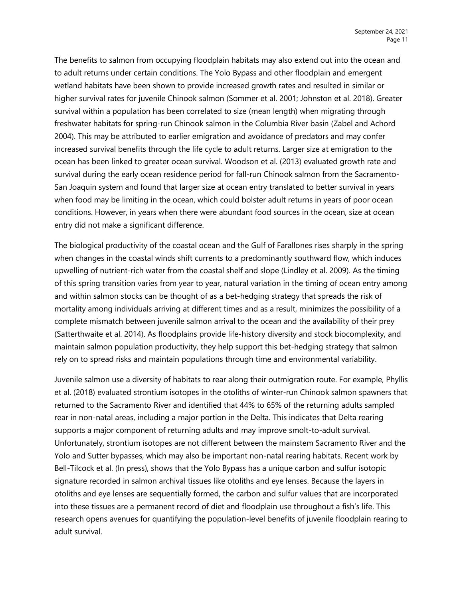The benefits to salmon from occupying floodplain habitats may also extend out into the ocean and to adult returns under certain conditions. The Yolo Bypass and other floodplain and emergent wetland habitats have been shown to provide increased growth rates and resulted in similar or higher survival rates for juvenile Chinook salmon (Sommer et al. 2001; Johnston et al. 2018). Greater survival within a population has been correlated to size (mean length) when migrating through freshwater habitats for spring-run Chinook salmon in the Columbia River basin (Zabel and Achord 2004). This may be attributed to earlier emigration and avoidance of predators and may confer increased survival benefits through the life cycle to adult returns. Larger size at emigration to the ocean has been linked to greater ocean survival. Woodson et al. (2013) evaluated growth rate and survival during the early ocean residence period for fall-run Chinook salmon from the Sacramento-San Joaquin system and found that larger size at ocean entry translated to better survival in years when food may be limiting in the ocean, which could bolster adult returns in years of poor ocean conditions. However, in years when there were abundant food sources in the ocean, size at ocean entry did not make a significant difference.

The biological productivity of the coastal ocean and the Gulf of Farallones rises sharply in the spring when changes in the coastal winds shift currents to a predominantly southward flow, which induces upwelling of nutrient-rich water from the coastal shelf and slope (Lindley et al. 2009). As the timing of this spring transition varies from year to year, natural variation in the timing of ocean entry among and within salmon stocks can be thought of as a bet-hedging strategy that spreads the risk of mortality among individuals arriving at different times and as a result, minimizes the possibility of a complete mismatch between juvenile salmon arrival to the ocean and the availability of their prey (Satterthwaite et al. 2014). As floodplains provide life-history diversity and stock biocomplexity, and maintain salmon population productivity, they help support this bet-hedging strategy that salmon rely on to spread risks and maintain populations through time and environmental variability.

Juvenile salmon use a diversity of habitats to rear along their outmigration route. For example, Phyllis et al. (2018) evaluated strontium isotopes in the otoliths of winter-run Chinook salmon spawners that returned to the Sacramento River and identified that 44% to 65% of the returning adults sampled rear in non-natal areas, including a major portion in the Delta. This indicates that Delta rearing supports a major component of returning adults and may improve smolt-to-adult survival. Unfortunately, strontium isotopes are not different between the mainstem Sacramento River and the Yolo and Sutter bypasses, which may also be important non-natal rearing habitats. Recent work by Bell-Tilcock et al. (In press), shows that the Yolo Bypass has a unique carbon and sulfur isotopic signature recorded in salmon archival tissues like otoliths and eye lenses. Because the layers in otoliths and eye lenses are sequentially formed, the carbon and sulfur values that are incorporated into these tissues are a permanent record of diet and floodplain use throughout a fish's life. This research opens avenues for quantifying the population-level benefits of juvenile floodplain rearing to adult survival.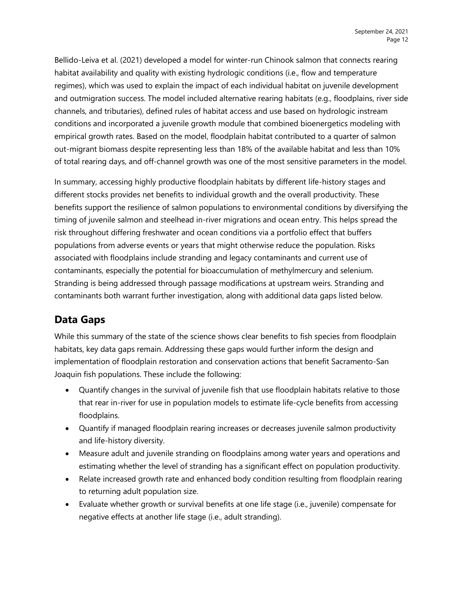Bellido-Leiva et al. (2021) developed a model for winter-run Chinook salmon that connects rearing habitat availability and quality with existing hydrologic conditions (i.e., flow and temperature regimes), which was used to explain the impact of each individual habitat on juvenile development and outmigration success. The model included alternative rearing habitats (e.g., floodplains, river side channels, and tributaries), defined rules of habitat access and use based on hydrologic instream conditions and incorporated a juvenile growth module that combined bioenergetics modeling with empirical growth rates. Based on the model, floodplain habitat contributed to a quarter of salmon out-migrant biomass despite representing less than 18% of the available habitat and less than 10% of total rearing days, and off-channel growth was one of the most sensitive parameters in the model.

In summary, accessing highly productive floodplain habitats by different life-history stages and different stocks provides net benefits to individual growth and the overall productivity. These benefits support the resilience of salmon populations to environmental conditions by diversifying the timing of juvenile salmon and steelhead in-river migrations and ocean entry. This helps spread the risk throughout differing freshwater and ocean conditions via a portfolio effect that buffers populations from adverse events or years that might otherwise reduce the population. Risks associated with floodplains include stranding and legacy contaminants and current use of contaminants, especially the potential for bioaccumulation of methylmercury and selenium. Stranding is being addressed through passage modifications at upstream weirs. Stranding and contaminants both warrant further investigation, along with additional data gaps listed below.

# **Data Gaps**

While this summary of the state of the science shows clear benefits to fish species from floodplain habitats, key data gaps remain. Addressing these gaps would further inform the design and implementation of floodplain restoration and conservation actions that benefit Sacramento-San Joaquin fish populations. These include the following:

- Quantify changes in the survival of juvenile fish that use floodplain habitats relative to those that rear in-river for use in population models to estimate life-cycle benefits from accessing floodplains.
- Quantify if managed floodplain rearing increases or decreases juvenile salmon productivity and life-history diversity.
- Measure adult and juvenile stranding on floodplains among water years and operations and estimating whether the level of stranding has a significant effect on population productivity.
- Relate increased growth rate and enhanced body condition resulting from floodplain rearing to returning adult population size.
- Evaluate whether growth or survival benefits at one life stage (i.e., juvenile) compensate for negative effects at another life stage (i.e., adult stranding).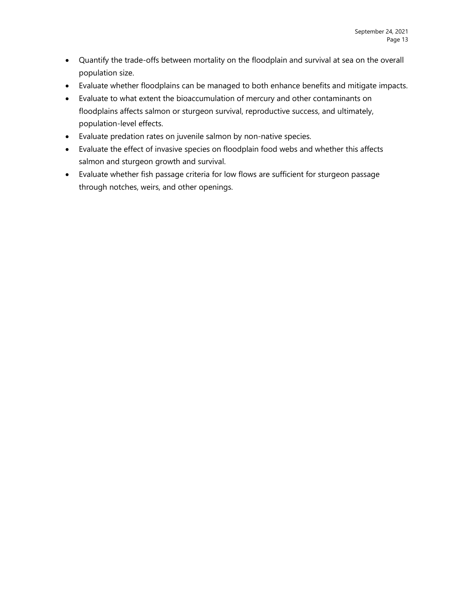- Quantify the trade-offs between mortality on the floodplain and survival at sea on the overall population size.
- Evaluate whether floodplains can be managed to both enhance benefits and mitigate impacts.
- Evaluate to what extent the bioaccumulation of mercury and other contaminants on floodplains affects salmon or sturgeon survival, reproductive success, and ultimately, population-level effects.
- Evaluate predation rates on juvenile salmon by non-native species.
- Evaluate the effect of invasive species on floodplain food webs and whether this affects salmon and sturgeon growth and survival.
- Evaluate whether fish passage criteria for low flows are sufficient for sturgeon passage through notches, weirs, and other openings.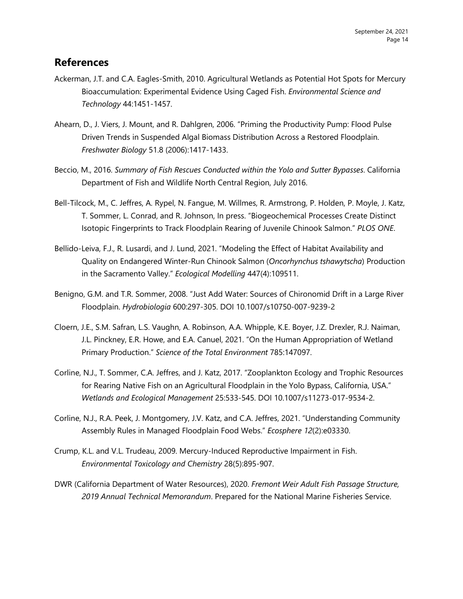### **References**

- Ackerman, J.T. and C.A. Eagles-Smith, 2010. Agricultural Wetlands as Potential Hot Spots for Mercury Bioaccumulation: Experimental Evidence Using Caged Fish. *Environmental Science and Technology* 44:1451-1457.
- Ahearn, D., J. Viers, J. Mount, and R. Dahlgren, 2006. "Priming the Productivity Pump: Flood Pulse Driven Trends in Suspended Algal Biomass Distribution Across a Restored Floodplain. *Freshwater Biology* 51.8 (2006):1417-1433.
- Beccio, M., 2016. *Summary of Fish Rescues Conducted within the Yolo and Sutter Bypasses*. California Department of Fish and Wildlife North Central Region, July 2016.
- Bell-Tilcock, M., C. Jeffres, A. Rypel, N. Fangue, M. Willmes, R. Armstrong, P. Holden, P. Moyle, J. Katz, T. Sommer, L. Conrad, and R. Johnson, In press. "Biogeochemical Processes Create Distinct Isotopic Fingerprints to Track Floodplain Rearing of Juvenile Chinook Salmon." *PLOS ONE*.
- Bellido-Leiva, F.J., R. Lusardi, and J. Lund, 2021. "Modeling the Effect of Habitat Availability and Quality on Endangered Winter-Run Chinook Salmon (*Oncorhynchus tshawytscha*) Production in the Sacramento Valley." *Ecological Modelling* 447(4):109511.
- Benigno, G.M. and T.R. Sommer, 2008. "Just Add Water: Sources of Chironomid Drift in a Large River Floodplain. *Hydrobiologia* 600:297-305. DOI 10.1007/s10750-007-9239-2
- Cloern, J.E., S.M. Safran, L.S. Vaughn, A. Robinson, A.A. Whipple, K.E. Boyer, J.Z. Drexler, R.J. Naiman, J.L. Pinckney, E.R. Howe, and E.A. Canuel, 2021. "On the Human Appropriation of Wetland Primary Production." *Science of the Total Environment* 785:147097.
- Corline, N.J., T. Sommer, C.A. Jeffres, and J. Katz, 2017. "Zooplankton Ecology and Trophic Resources for Rearing Native Fish on an Agricultural Floodplain in the Yolo Bypass, California, USA." *Wetlands and Ecological Management* 25:533-545. DOI 10.1007/s11273-017-9534-2.
- Corline, N.J., R.A. Peek, J. Montgomery, J.V. Katz, and C.A. Jeffres, 2021. "Understanding Community Assembly Rules in Managed Floodplain Food Webs." *Ecosphere 12*(2):e03330.
- Crump, K.L. and V.L. Trudeau, 2009. Mercury-Induced Reproductive Impairment in Fish. *Environmental Toxicology and Chemistry* 28(5):895-907.
- DWR (California Department of Water Resources), 2020. *Fremont Weir Adult Fish Passage Structure, 2019 Annual Technical Memorandum*. Prepared for the National Marine Fisheries Service.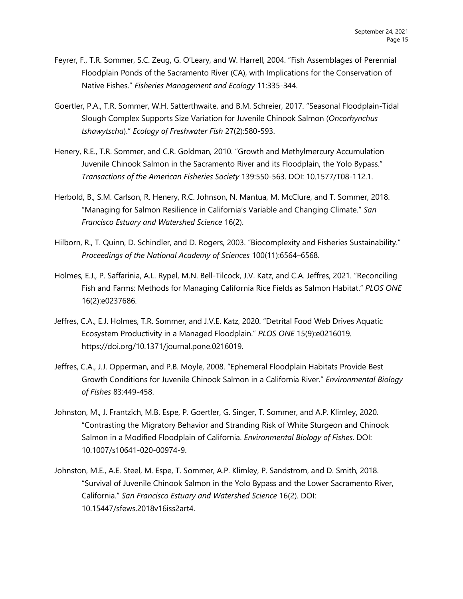- Feyrer, F., T.R. Sommer, S.C. Zeug, G. O'Leary, and W. Harrell, 2004. "Fish Assemblages of Perennial Floodplain Ponds of the Sacramento River (CA), with Implications for the Conservation of Native Fishes." *Fisheries Management and Ecology* 11:335-344.
- Goertler, P.A., T.R. Sommer, W.H. Satterthwaite, and B.M. Schreier, 2017. "Seasonal Floodplain-Tidal Slough Complex Supports Size Variation for Juvenile Chinook Salmon (*Oncorhynchus tshawytscha*)." *Ecology of Freshwater Fish* 27(2):580-593.
- Henery, R.E., T.R. Sommer, and C.R. Goldman, 2010. "Growth and Methylmercury Accumulation Juvenile Chinook Salmon in the Sacramento River and its Floodplain, the Yolo Bypass." *Transactions of the American Fisheries Society* 139:550-563. DOI: 10.1577/T08-112.1.
- Herbold, B., S.M. Carlson, R. Henery, R.C. Johnson, N. Mantua, M. McClure, and T. Sommer, 2018. "Managing for Salmon Resilience in California's Variable and Changing Climate." *San Francisco Estuary and Watershed Science* 16(2).
- Hilborn, R., T. Quinn, D. Schindler, and D. Rogers, 2003. "Biocomplexity and Fisheries Sustainability." *Proceedings of the National Academy of Sciences* 100(11):6564–6568.
- Holmes, E.J., P. Saffarinia, A.L. Rypel, M.N. Bell-Tilcock, J.V. Katz, and C.A. Jeffres, 2021. "Reconciling Fish and Farms: Methods for Managing California Rice Fields as Salmon Habitat." *PLOS ONE* 16(2):e0237686.
- Jeffres, C.A., E.J. Holmes, T.R. Sommer, and J.V.E. Katz, 2020. "Detrital Food Web Drives Aquatic Ecosystem Productivity in a Managed Floodplain." *PLOS ONE* 15(9):e0216019. https://doi.org/10.1371/journal.pone.0216019.
- Jeffres, C.A., J.J. Opperman, and P.B. Moyle, 2008. "Ephemeral Floodplain Habitats Provide Best Growth Conditions for Juvenile Chinook Salmon in a California River." *Environmental Biology of Fishes* 83:449-458.
- Johnston, M., J. Frantzich, M.B. Espe, P. Goertler, G. Singer, T. Sommer, and A.P. Klimley, 2020. "Contrasting the Migratory Behavior and Stranding Risk of White Sturgeon and Chinook Salmon in a Modified Floodplain of California. *Environmental Biology of Fishes*. DOI: 10.1007/s10641-020-00974-9.
- Johnston, M.E., A.E. Steel, M. Espe, T. Sommer, A.P. Klimley, P. Sandstrom, and D. Smith, 2018. "Survival of Juvenile Chinook Salmon in the Yolo Bypass and the Lower Sacramento River, California." *San Francisco Estuary and Watershed Science* 16(2). DOI: 10.15447/sfews.2018v16iss2art4.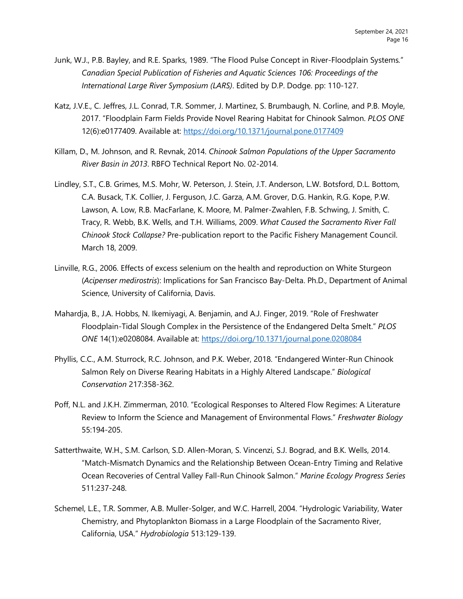- Junk, W.J., P.B. Bayley, and R.E. Sparks, 1989. "The Flood Pulse Concept in River-Floodplain Systems*.*" *Canadian Special Publication of Fisheries and Aquatic Sciences 106: Proceedings of the International Large River Symposium (LARS)*. Edited by D.P. Dodge. pp: 110-127.
- Katz, J.V.E., C. Jeffres, J.L. Conrad, T.R. Sommer, J. Martinez, S. Brumbaugh, N. Corline, and P.B. Moyle, 2017. "Floodplain Farm Fields Provide Novel Rearing Habitat for Chinook Salmon. *PLOS ONE* 12(6):e0177409. Available at:<https://doi.org/10.1371/journal.pone.0177409>
- Killam, D., M. Johnson, and R. Revnak, 2014. *Chinook Salmon Populations of the Upper Sacramento River Basin in 2013*. RBFO Technical Report No. 02-2014.
- Lindley, S.T., C.B. Grimes, M.S. Mohr, W. Peterson, J. Stein, J.T. Anderson, L.W. Botsford, D.L. Bottom, C.A. Busack, T.K. Collier, J. Ferguson, J.C. Garza, A.M. Grover, D.G. Hankin, R.G. Kope, P.W. Lawson, A. Low, R.B. MacFarlane, K. Moore, M. Palmer-Zwahlen, F.B. Schwing, J. Smith, C. Tracy, R. Webb, B.K. Wells, and T.H. Williams, 2009. *What Caused the Sacramento River Fall Chinook Stock Collapse?* Pre-publication report to the Pacific Fishery Management Council. March 18, 2009.
- Linville, R.G., 2006. Effects of excess selenium on the health and reproduction on White Sturgeon (*Acipenser medirostris*): Implications for San Francisco Bay-Delta. Ph.D., Department of Animal Science, University of California, Davis.
- Mahardja, B., J.A. Hobbs, N. Ikemiyagi, A. Benjamin, and A.J. Finger, 2019. "Role of Freshwater Floodplain-Tidal Slough Complex in the Persistence of the Endangered Delta Smelt." *PLOS ONE* 14(1):e0208084. Available at:<https://doi.org/10.1371/journal.pone.0208084>
- Phyllis, C.C., A.M. Sturrock, R.C. Johnson, and P.K. Weber, 2018. "Endangered Winter-Run Chinook Salmon Rely on Diverse Rearing Habitats in a Highly Altered Landscape." *Biological Conservation* 217:358-362.
- Poff, N.L. and J.K.H. Zimmerman, 2010. "Ecological Responses to Altered Flow Regimes: A Literature Review to Inform the Science and Management of Environmental Flows." *Freshwater Biology* 55:194-205.
- Satterthwaite, W.H., S.M. Carlson, S.D. Allen-Moran, S. Vincenzi, S.J. Bograd, and B.K. Wells, 2014. "Match-Mismatch Dynamics and the Relationship Between Ocean-Entry Timing and Relative Ocean Recoveries of Central Valley Fall-Run Chinook Salmon." *Marine Ecology Progress Series* 511:237-248.
- Schemel, L.E., T.R. Sommer, A.B. Muller-Solger, and W.C. Harrell, 2004. "Hydrologic Variability, Water Chemistry, and Phytoplankton Biomass in a Large Floodplain of the Sacramento River, California, USA." *Hydrobiologia* 513:129-139.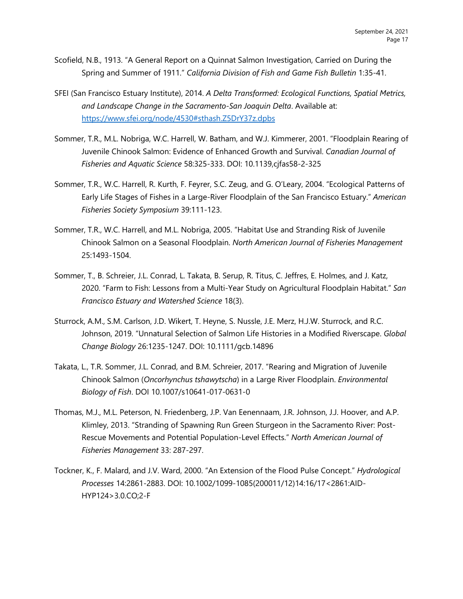- Scofield, N.B., 1913. "A General Report on a Quinnat Salmon Investigation, Carried on During the Spring and Summer of 1911." *California Division of Fish and Game Fish Bulletin* 1:35-41.
- SFEI (San Francisco Estuary Institute), 2014. *A Delta Transformed: Ecological Functions, Spatial Metrics, and Landscape Change in the Sacramento-San Joaquin Delta*. Available at: <https://www.sfei.org/node/4530#sthash.Z5DrY37z.dpbs>
- Sommer, T.R., M.L. Nobriga, W.C. Harrell, W. Batham, and W.J. Kimmerer, 2001. "Floodplain Rearing of Juvenile Chinook Salmon: Evidence of Enhanced Growth and Survival. *Canadian Journal of Fisheries and Aquatic Science* 58:325-333. DOI: 10.1139,cjfas58-2-325
- Sommer, T.R., W.C. Harrell, R. Kurth, F. Feyrer, S.C. Zeug, and G. O'Leary, 2004. "Ecological Patterns of Early Life Stages of Fishes in a Large-River Floodplain of the San Francisco Estuary." *American Fisheries Society Symposium* 39:111-123.
- Sommer, T.R., W.C. Harrell, and M.L. Nobriga, 2005. "Habitat Use and Stranding Risk of Juvenile Chinook Salmon on a Seasonal Floodplain. *North American Journal of Fisheries Management* 25:1493-1504.
- Sommer, T., B. Schreier, J.L. Conrad, L. Takata, B. Serup, R. Titus, C. Jeffres, E. Holmes, and J. Katz, 2020. "Farm to Fish: Lessons from a Multi-Year Study on Agricultural Floodplain Habitat." *San Francisco Estuary and Watershed Science* 18(3).
- Sturrock, A.M., S.M. Carlson, J.D. Wikert, T. Heyne, S. Nussle, J.E. Merz, H.J.W. Sturrock, and R.C. Johnson, 2019. "Unnatural Selection of Salmon Life Histories in a Modified Riverscape. *Global Change Biology* 26:1235-1247. DOI: 10.1111/gcb.14896
- Takata, L., T.R. Sommer, J.L. Conrad, and B.M. Schreier, 2017. "Rearing and Migration of Juvenile Chinook Salmon (*Oncorhynchus tshawytscha*) in a Large River Floodplain. *Environmental Biology of Fish*. DOI 10.1007/s10641-017-0631-0
- Thomas, M.J., M.L. Peterson, N. Friedenberg, J.P. Van Eenennaam, J.R. Johnson, J.J. Hoover, and A.P. Klimley, 2013. "Stranding of Spawning Run Green Sturgeon in the Sacramento River: Post-Rescue Movements and Potential Population-Level Effects." *North American Journal of Fisheries Management* 33: 287-297.
- Tockner, K., F. Malard, and J.V. Ward, 2000. "An Extension of the Flood Pulse Concept." *Hydrological Processes* 14:2861-2883. DOI: 10.1002/1099-1085(200011/12)14:16/17<2861:AID-HYP124>3.0.CO;2-F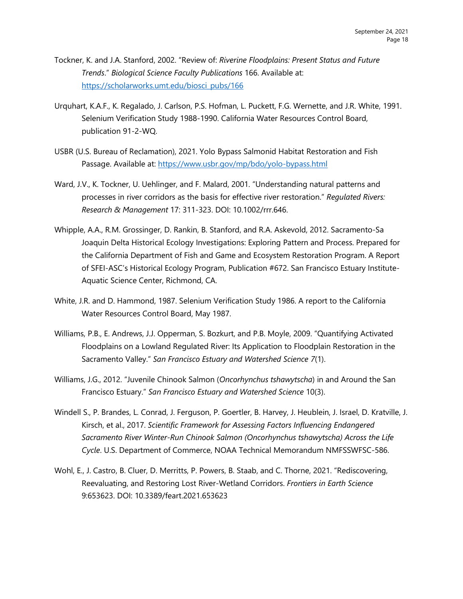- Tockner, K. and J.A. Stanford, 2002. "Review of: *Riverine Floodplains: Present Status and Future Trends*." *Biological Science Faculty Publications* 166. Available at: [https://scholarworks.umt.edu/biosci\\_pubs/166](https://scholarworks.umt.edu/biosci_pubs/166)
- Urquhart, K.A.F., K. Regalado, J. Carlson, P.S. Hofman, L. Puckett, F.G. Wernette, and J.R. White, 1991. Selenium Verification Study 1988-1990. California Water Resources Control Board, publication 91-2-WQ.
- USBR (U.S. Bureau of Reclamation), 2021. Yolo Bypass Salmonid Habitat Restoration and Fish Passage. Available at:<https://www.usbr.gov/mp/bdo/yolo-bypass.html>
- Ward, J.V., K. Tockner, U. Uehlinger, and F. Malard, 2001. "Understanding natural patterns and processes in river corridors as the basis for effective river restoration." *Regulated Rivers: Research & Management* 17: 311-323. DOI: 10.1002/rrr.646.
- Whipple, A.A., R.M. Grossinger, D. Rankin, B. Stanford, and R.A. Askevold, 2012. Sacramento-Sa Joaquin Delta Historical Ecology Investigations: Exploring Pattern and Process. Prepared for the California Department of Fish and Game and Ecosystem Restoration Program. A Report of SFEI-ASC's Historical Ecology Program, Publication #672. San Francisco Estuary Institute-Aquatic Science Center, Richmond, CA.
- White, J.R. and D. Hammond, 1987. Selenium Verification Study 1986. A report to the California Water Resources Control Board, May 1987.
- Williams, P.B., E. Andrews, J.J. Opperman, S. Bozkurt, and P.B. Moyle, 2009. "Quantifying Activated Floodplains on a Lowland Regulated River: Its Application to Floodplain Restoration in the Sacramento Valley." *San Francisco Estuary and Watershed Science 7*(1).
- Williams, J.G., 2012. "Juvenile Chinook Salmon (*Oncorhynchus tshawytscha*) in and Around the San Francisco Estuary." *San Francisco Estuary and Watershed Science* 10(3).
- Windell S., P. Brandes, L. Conrad, J. Ferguson, P. Goertler, B. Harvey, J. Heublein, J. Israel, D. Kratville, J. Kirsch, et al., 2017. *Scientific Framework for Assessing Factors Influencing Endangered Sacramento River Winter-Run Chinook Salmon (Oncorhynchus tshawytscha) Across the Life Cycle*. U.S. Department of Commerce, NOAA Technical Memorandum NMFSSWFSC-586.
- Wohl, E., J. Castro, B. Cluer, D. Merritts, P. Powers, B. Staab, and C. Thorne, 2021. "Rediscovering, Reevaluating, and Restoring Lost River-Wetland Corridors. *Frontiers in Earth Science* 9:653623. DOI: 10.3389/feart.2021.653623